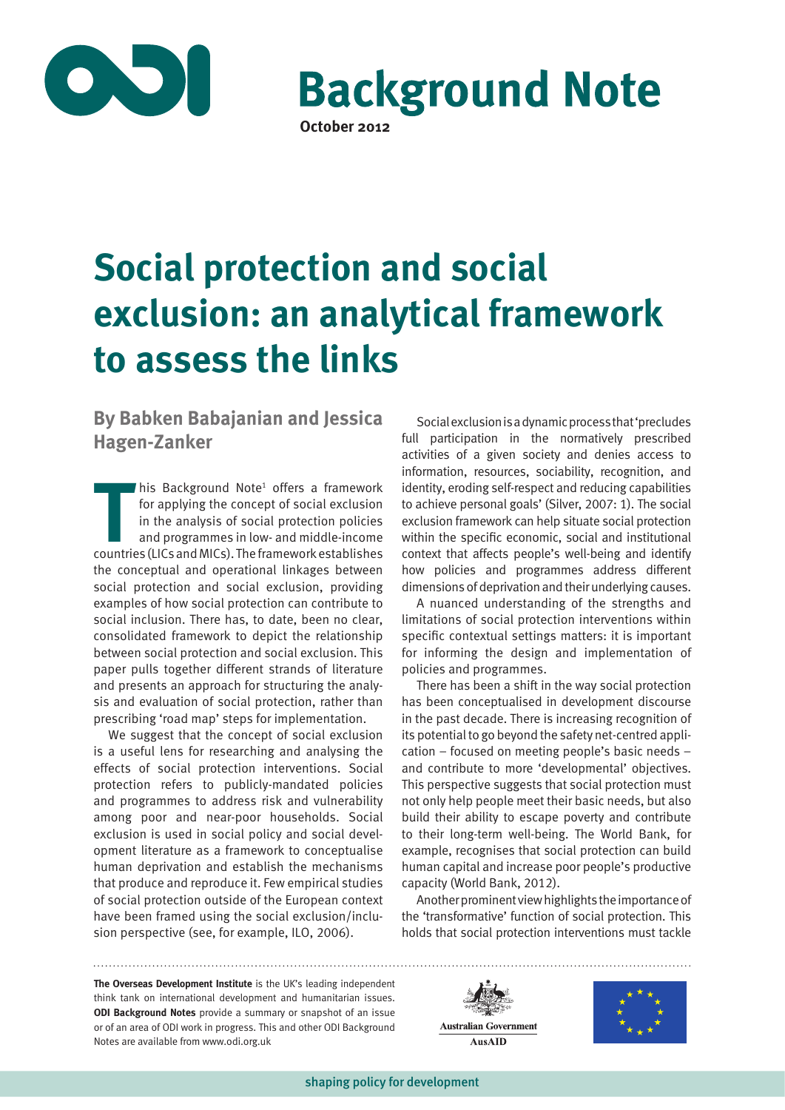

**Background Note** 

**October 2012**

# **Social protection and social exclusion: an analytical framework to assess the links**

**By Babken Babajanian and Jessica Hagen-Zanker**

**THE FRAMIST SERVISTED SET ASSESS** for applying the concept of social exclusion in the analysis of social protection policies and programmes in low- and middle-income countries (LICs and MICs). The framework establishes his Background Note<sup>1</sup> offers a framework for applying the concept of social exclusion in the analysis of social protection policies and programmes in low- and middle-income the conceptual and operational linkages between social protection and social exclusion, providing examples of how social protection can contribute to social inclusion. There has, to date, been no clear, consolidated framework to depict the relationship between social protection and social exclusion. This paper pulls together different strands of literature and presents an approach for structuring the analysis and evaluation of social protection, rather than prescribing 'road map' steps for implementation.

We suggest that the concept of social exclusion is a useful lens for researching and analysing the effects of social protection interventions. Social protection refers to publicly-mandated policies and programmes to address risk and vulnerability among poor and near-poor households. Social exclusion is used in social policy and social development literature as a framework to conceptualise human deprivation and establish the mechanisms that produce and reproduce it. Few empirical studies of social protection outside of the European context have been framed using the social exclusion/inclusion perspective (see, for example, ILO, 2006).

Social exclusion is a dynamic process that 'precludes full participation in the normatively prescribed activities of a given society and denies access to information, resources, sociability, recognition, and identity, eroding self-respect and reducing capabilities to achieve personal goals' (Silver, 2007: 1). The social exclusion framework can help situate social protection within the specific economic, social and institutional context that affects people's well-being and identify how policies and programmes address different dimensions of deprivation and their underlying causes.

A nuanced understanding of the strengths and limitations of social protection interventions within specific contextual settings matters: it is important for informing the design and implementation of policies and programmes.

There has been a shift in the way social protection has been conceptualised in development discourse in the past decade. There is increasing recognition of its potential to go beyond the safety net-centred application – focused on meeting people's basic needs – and contribute to more 'developmental' objectives. This perspective suggests that social protection must not only help people meet their basic needs, but also build their ability to escape poverty and contribute to their long-term well-being. The World Bank, for example, recognises that social protection can build human capital and increase poor people's productive capacity (World Bank, 2012).

Another prominent view highlights the importance of the 'transformative' function of social protection. This holds that social protection interventions must tackle

**The Overseas Development Institute** is the UK's leading independent think tank on international development and humanitarian issues. **ODI Background Notes** provide a summary or snapshot of an issue or of an area of ODI work in progress. This and other ODI Background Notes are available from www.odi.org.uk



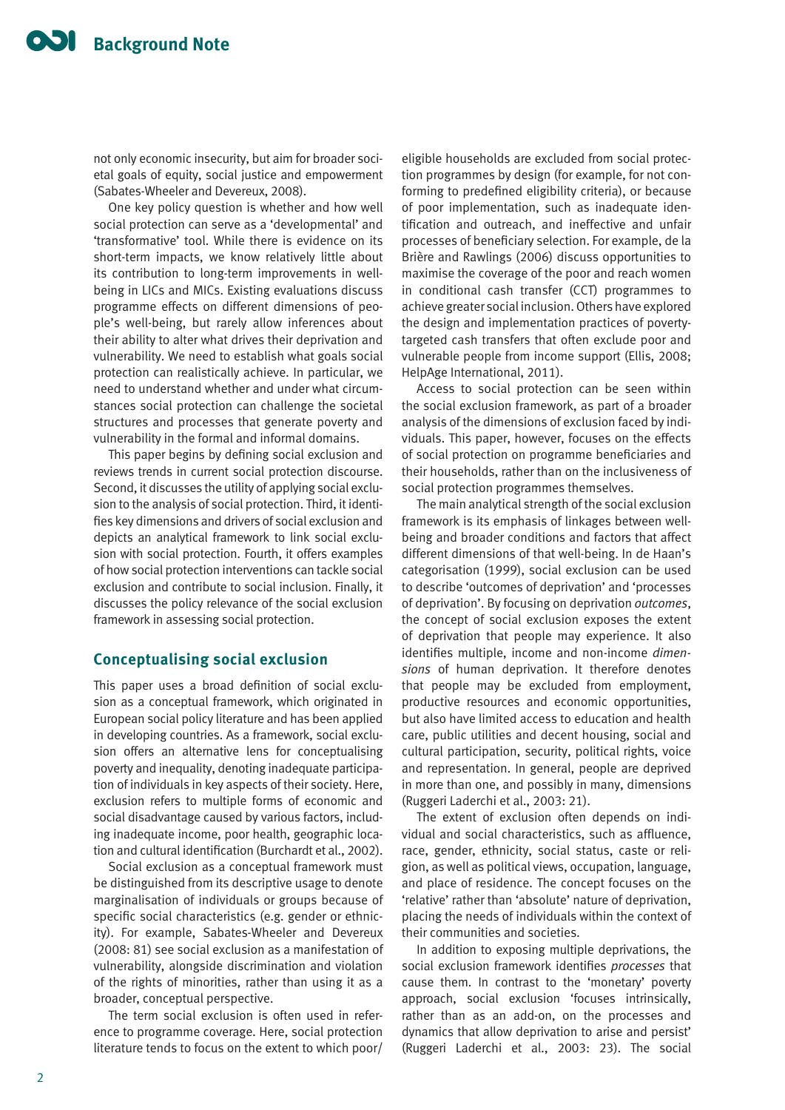not only economic insecurity, but aim for broader societal goals of equity, social justice and empowerment (Sabates-Wheeler and Devereux, 2008).

One key policy question is whether and how well social protection can serve as a 'developmental' and 'transformative' tool. While there is evidence on its short-term impacts, we know relatively little about its contribution to long-term improvements in wellbeing in LICs and MICs. Existing evaluations discuss programme effects on different dimensions of people's well-being, but rarely allow inferences about their ability to alter what drives their deprivation and vulnerability. We need to establish what goals social protection can realistically achieve. In particular, we need to understand whether and under what circumstances social protection can challenge the societal structures and processes that generate poverty and vulnerability in the formal and informal domains.

This paper begins by defining social exclusion and reviews trends in current social protection discourse. Second, it discusses the utility of applying social exclusion to the analysis of social protection. Third, it identifies key dimensions and drivers of social exclusion and depicts an analytical framework to link social exclusion with social protection. Fourth, it offers examples of how social protection interventions can tackle social exclusion and contribute to social inclusion. Finally, it discusses the policy relevance of the social exclusion framework in assessing social protection.

## **Conceptualising social exclusion**

This paper uses a broad definition of social exclusion as a conceptual framework, which originated in European social policy literature and has been applied in developing countries. As a framework, social exclusion offers an alternative lens for conceptualising poverty and inequality, denoting inadequate participation of individuals in key aspects of their society. Here, exclusion refers to multiple forms of economic and social disadvantage caused by various factors, including inadequate income, poor health, geographic location and cultural identification (Burchardt et al., 2002).

Social exclusion as a conceptual framework must be distinguished from its descriptive usage to denote marginalisation of individuals or groups because of specific social characteristics (e.g. gender or ethnicity). For example, Sabates-Wheeler and Devereux (2008: 81) see social exclusion as a manifestation of vulnerability, alongside discrimination and violation of the rights of minorities, rather than using it as a broader, conceptual perspective.

The term social exclusion is often used in reference to programme coverage. Here, social protection literature tends to focus on the extent to which poor/

eligible households are excluded from social protection programmes by design (for example, for not conforming to predefined eligibility criteria), or because of poor implementation, such as inadequate identification and outreach, and ineffective and unfair processes of beneficiary selection. For example, de la Brière and Rawlings (2006) discuss opportunities to maximise the coverage of the poor and reach women in conditional cash transfer (CCT) programmes to achieve greater social inclusion. Others have explored the design and implementation practices of povertytargeted cash transfers that often exclude poor and vulnerable people from income support (Ellis, 2008; HelpAge International, 2011).

Access to social protection can be seen within the social exclusion framework, as part of a broader analysis of the dimensions of exclusion faced by individuals. This paper, however, focuses on the effects of social protection on programme beneficiaries and their households, rather than on the inclusiveness of social protection programmes themselves.

The main analytical strength of the social exclusion framework is its emphasis of linkages between wellbeing and broader conditions and factors that affect different dimensions of that well-being. In de Haan's categorisation (1999), social exclusion can be used to describe 'outcomes of deprivation' and 'processes of deprivation'. By focusing on deprivation *outcomes*, the concept of social exclusion exposes the extent of deprivation that people may experience. It also identifies multiple, income and non-income *dimensions* of human deprivation. It therefore denotes that people may be excluded from employment, productive resources and economic opportunities, but also have limited access to education and health care, public utilities and decent housing, social and cultural participation, security, political rights, voice and representation. In general, people are deprived in more than one, and possibly in many, dimensions (Ruggeri Laderchi et al., 2003: 21).

The extent of exclusion often depends on individual and social characteristics, such as affluence, race, gender, ethnicity, social status, caste or religion, as well as political views, occupation, language, and place of residence. The concept focuses on the 'relative' rather than 'absolute' nature of deprivation, placing the needs of individuals within the context of their communities and societies.

In addition to exposing multiple deprivations, the social exclusion framework identifies *processes* that cause them. In contrast to the 'monetary' poverty approach, social exclusion 'focuses intrinsically, rather than as an add-on, on the processes and dynamics that allow deprivation to arise and persist' (Ruggeri Laderchi et al., 2003: 23). The social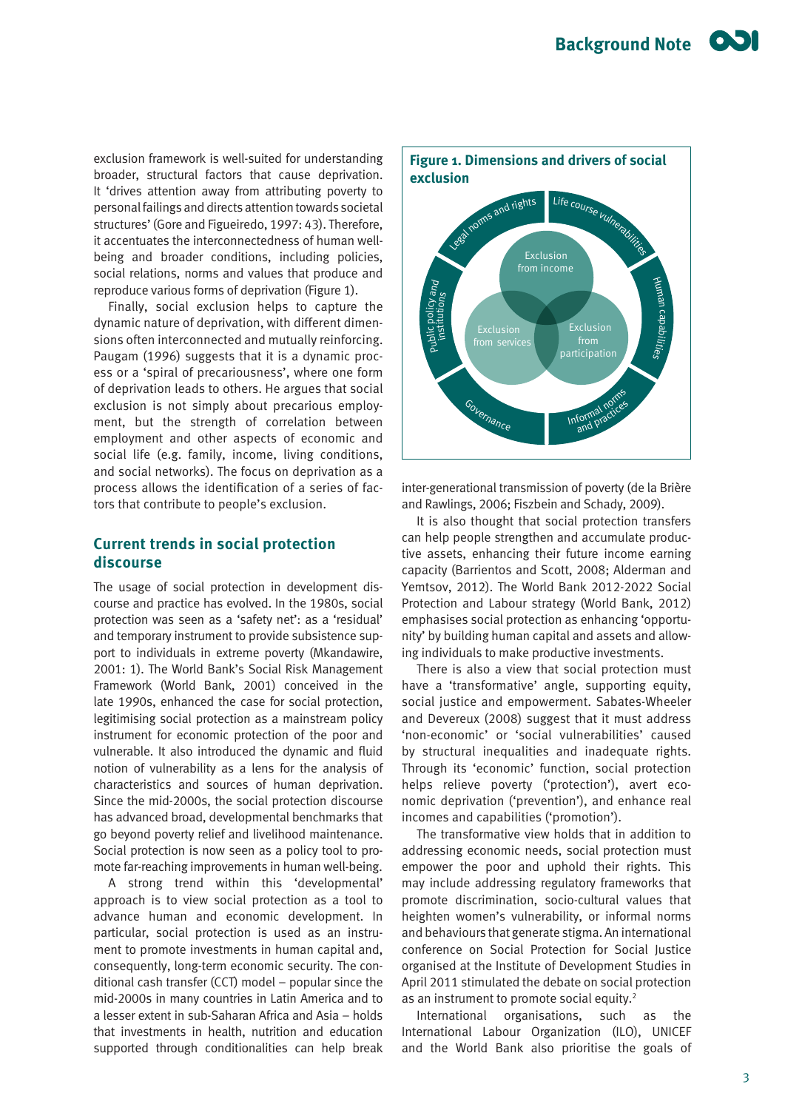exclusion framework is well-suited for understanding broader, structural factors that cause deprivation. It 'drives attention away from attributing poverty to personal failings and directs attention towards societal structures' (Gore and Figueiredo, 1997: 43). Therefore, it accentuates the interconnectedness of human wellbeing and broader conditions, including policies, social relations, norms and values that produce and reproduce various forms of deprivation (Figure 1).

Finally, social exclusion helps to capture the dynamic nature of deprivation, with different dimensions often interconnected and mutually reinforcing. Paugam (1996) suggests that it is a dynamic process or a 'spiral of precariousness', where one form of deprivation leads to others. He argues that social exclusion is not simply about precarious employment, but the strength of correlation between employment and other aspects of economic and social life (e.g. family, income, living conditions, and social networks). The focus on deprivation as a process allows the identification of a series of factors that contribute to people's exclusion.

## **Current trends in social protection discourse**

The usage of social protection in development discourse and practice has evolved. In the 1980s, social protection was seen as a 'safety net': as a 'residual' and temporary instrument to provide subsistence support to individuals in extreme poverty (Mkandawire, 2001: 1). The World Bank's Social Risk Management Framework (World Bank, 2001) conceived in the late 1990s, enhanced the case for social protection, legitimising social protection as a mainstream policy instrument for economic protection of the poor and vulnerable. It also introduced the dynamic and fluid notion of vulnerability as a lens for the analysis of characteristics and sources of human deprivation. Since the mid-2000s, the social protection discourse has advanced broad, developmental benchmarks that go beyond poverty relief and livelihood maintenance. Social protection is now seen as a policy tool to promote far-reaching improvements in human well-being.

A strong trend within this 'developmental' approach is to view social protection as a tool to advance human and economic development. In particular, social protection is used as an instrument to promote investments in human capital and, consequently, long-term economic security. The conditional cash transfer (CCT) model – popular since the mid-2000s in many countries in Latin America and to a lesser extent in sub-Saharan Africa and Asia – holds that investments in health, nutrition and education supported through conditionalities can help break



inter-generational transmission of poverty (de la Brière and Rawlings, 2006; Fiszbein and Schady, 2009).

It is also thought that social protection transfers can help people strengthen and accumulate productive assets, enhancing their future income earning capacity (Barrientos and Scott, 2008; Alderman and Yemtsov, 2012). The World Bank 2012-2022 Social Protection and Labour strategy (World Bank, 2012) emphasises social protection as enhancing 'opportunity' by building human capital and assets and allowing individuals to make productive investments.

There is also a view that social protection must have a 'transformative' angle, supporting equity, social justice and empowerment. Sabates-Wheeler and Devereux (2008) suggest that it must address 'non-economic' or 'social vulnerabilities' caused by structural inequalities and inadequate rights. Through its 'economic' function, social protection helps relieve poverty ('protection'), avert economic deprivation ('prevention'), and enhance real incomes and capabilities ('promotion').

The transformative view holds that in addition to addressing economic needs, social protection must empower the poor and uphold their rights. This may include addressing regulatory frameworks that promote discrimination, socio-cultural values that heighten women's vulnerability, or informal norms and behaviours that generate stigma. An international conference on Social Protection for Social Justice organised at the Institute of Development Studies in April 2011 stimulated the debate on social protection as an instrument to promote social equity.<sup>2</sup>

International organisations, such as the International Labour Organization (ILO), UNICEF and the World Bank also prioritise the goals of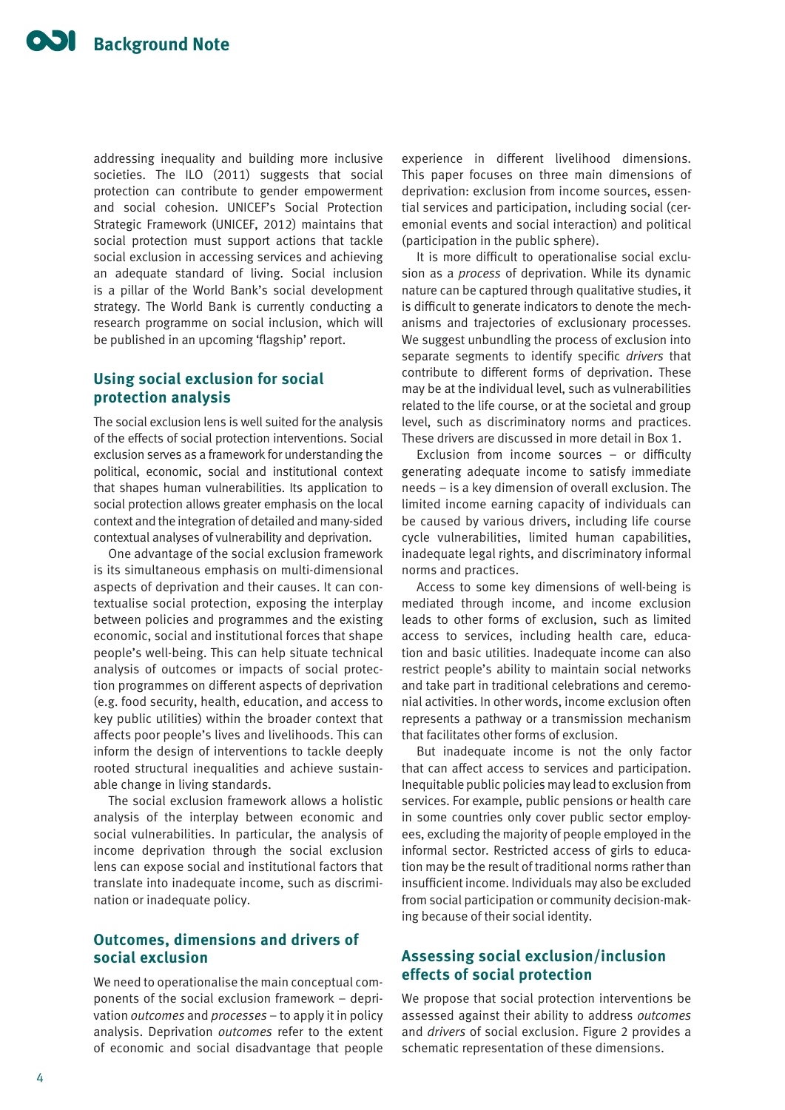addressing inequality and building more inclusive societies. The ILO (2011) suggests that social protection can contribute to gender empowerment and social cohesion. UNICEF's Social Protection Strategic Framework (UNICEF, 2012) maintains that social protection must support actions that tackle social exclusion in accessing services and achieving an adequate standard of living. Social inclusion is a pillar of the World Bank's social development strategy. The World Bank is currently conducting a research programme on social inclusion, which will be published in an upcoming 'flagship' report.

# **Using social exclusion for social protection analysis**

The social exclusion lens is well suited for the analysis of the effects of social protection interventions. Social exclusion serves as a framework for understanding the political, economic, social and institutional context that shapes human vulnerabilities. Its application to social protection allows greater emphasis on the local context and the integration of detailed and many-sided contextual analyses of vulnerability and deprivation.

One advantage of the social exclusion framework is its simultaneous emphasis on multi-dimensional aspects of deprivation and their causes. It can contextualise social protection, exposing the interplay between policies and programmes and the existing economic, social and institutional forces that shape people's well-being. This can help situate technical analysis of outcomes or impacts of social protection programmes on different aspects of deprivation (e.g. food security, health, education, and access to key public utilities) within the broader context that affects poor people's lives and livelihoods. This can inform the design of interventions to tackle deeply rooted structural inequalities and achieve sustainable change in living standards.

The social exclusion framework allows a holistic analysis of the interplay between economic and social vulnerabilities. In particular, the analysis of income deprivation through the social exclusion lens can expose social and institutional factors that translate into inadequate income, such as discrimination or inadequate policy.

# **Outcomes, dimensions and drivers of social exclusion**

We need to operationalise the main conceptual components of the social exclusion framework – deprivation *outcomes* and *processes* – to apply it in policy analysis. Deprivation *outcomes* refer to the extent of economic and social disadvantage that people experience in different livelihood dimensions. This paper focuses on three main dimensions of deprivation: exclusion from income sources, essential services and participation, including social (ceremonial events and social interaction) and political (participation in the public sphere).

It is more difficult to operationalise social exclusion as a *process* of deprivation. While its dynamic nature can be captured through qualitative studies, it is difficult to generate indicators to denote the mechanisms and trajectories of exclusionary processes. We suggest unbundling the process of exclusion into separate segments to identify specific *drivers* that contribute to different forms of deprivation. These may be at the individual level, such as vulnerabilities related to the life course, or at the societal and group level, such as discriminatory norms and practices. These drivers are discussed in more detail in Box 1.

Exclusion from income sources – or difficulty generating adequate income to satisfy immediate needs – is a key dimension of overall exclusion. The limited income earning capacity of individuals can be caused by various drivers, including life course cycle vulnerabilities, limited human capabilities, inadequate legal rights, and discriminatory informal norms and practices.

Access to some key dimensions of well-being is mediated through income, and income exclusion leads to other forms of exclusion, such as limited access to services, including health care, education and basic utilities. Inadequate income can also restrict people's ability to maintain social networks and take part in traditional celebrations and ceremonial activities. In other words, income exclusion often represents a pathway or a transmission mechanism that facilitates other forms of exclusion.

But inadequate income is not the only factor that can affect access to services and participation. Inequitable public policies may lead to exclusion from services. For example, public pensions or health care in some countries only cover public sector employees, excluding the majority of people employed in the informal sector. Restricted access of girls to education may be the result of traditional norms rather than insufficient income. Individuals may also be excluded from social participation or community decision-making because of their social identity.

## **Assessing social exclusion/inclusion effects of social protection**

We propose that social protection interventions be assessed against their ability to address *outcomes* and *drivers* of social exclusion. Figure 2 provides a schematic representation of these dimensions.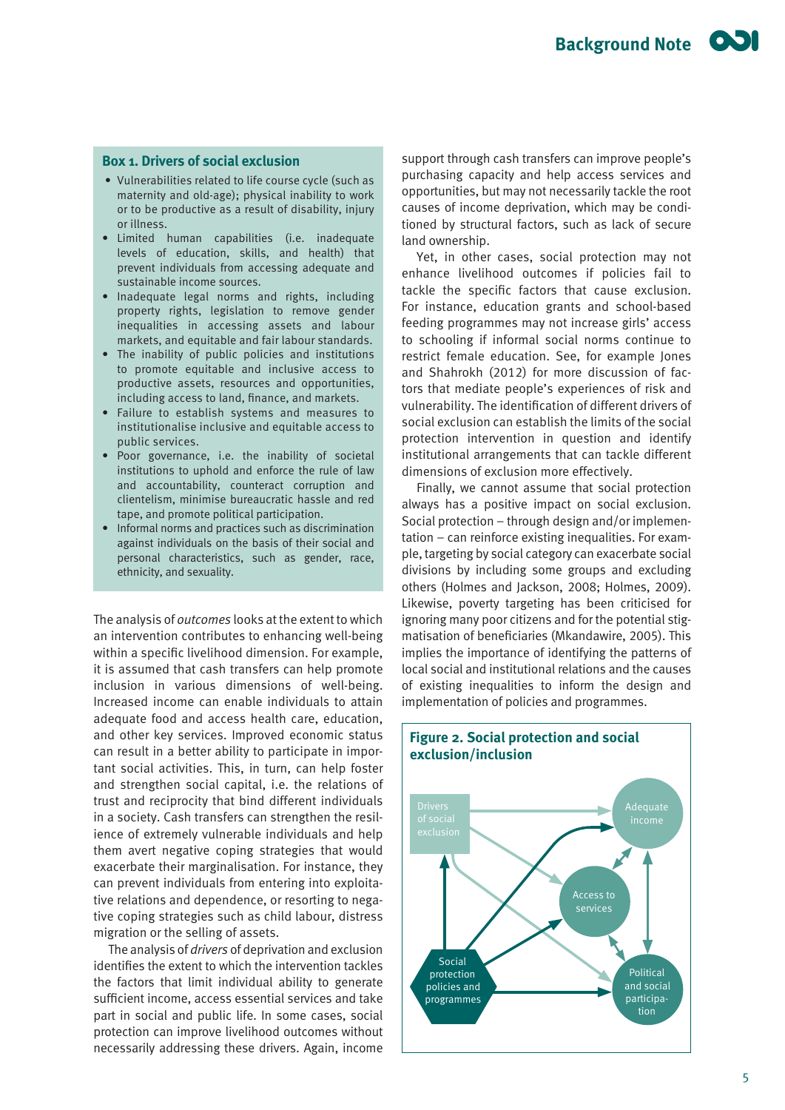## **Box 1. Drivers of social exclusion**

- Vulnerabilities related to life course cycle (such as maternity and old-age); physical inability to work or to be productive as a result of disability, injury or illness.
- Limited human capabilities (i.e. inadequate levels of education, skills, and health) that prevent individuals from accessing adequate and sustainable income sources.
- Inadequate legal norms and rights, including property rights, legislation to remove gender inequalities in accessing assets and labour markets, and equitable and fair labour standards.
- The inability of public policies and institutions to promote equitable and inclusive access to productive assets, resources and opportunities, including access to land, finance, and markets.
- Failure to establish systems and measures to institutionalise inclusive and equitable access to public services.
- Poor governance, i.e. the inability of societal institutions to uphold and enforce the rule of law and accountability, counteract corruption and clientelism, minimise bureaucratic hassle and red tape, and promote political participation.
- Informal norms and practices such as discrimination against individuals on the basis of their social and personal characteristics, such as gender, race, ethnicity, and sexuality.

The analysis of *outcomes* looks at the extent to which an intervention contributes to enhancing well-being within a specific livelihood dimension. For example, it is assumed that cash transfers can help promote inclusion in various dimensions of well-being. Increased income can enable individuals to attain adequate food and access health care, education, and other key services. Improved economic status can result in a better ability to participate in important social activities. This, in turn, can help foster and strengthen social capital, i.e. the relations of trust and reciprocity that bind different individuals in a society. Cash transfers can strengthen the resilience of extremely vulnerable individuals and help them avert negative coping strategies that would exacerbate their marginalisation. For instance, they can prevent individuals from entering into exploitative relations and dependence, or resorting to negative coping strategies such as child labour, distress migration or the selling of assets.

The analysis of *drivers* of deprivation and exclusion identifies the extent to which the intervention tackles the factors that limit individual ability to generate sufficient income, access essential services and take part in social and public life. In some cases, social protection can improve livelihood outcomes without necessarily addressing these drivers. Again, income

support through cash transfers can improve people's purchasing capacity and help access services and opportunities, but may not necessarily tackle the root causes of income deprivation, which may be conditioned by structural factors, such as lack of secure land ownership.

Yet, in other cases, social protection may not enhance livelihood outcomes if policies fail to tackle the specific factors that cause exclusion. For instance, education grants and school-based feeding programmes may not increase girls' access to schooling if informal social norms continue to restrict female education. See, for example Jones and Shahrokh (2012) for more discussion of factors that mediate people's experiences of risk and vulnerability. The identification of different drivers of social exclusion can establish the limits of the social protection intervention in question and identify institutional arrangements that can tackle different dimensions of exclusion more effectively.

Finally, we cannot assume that social protection always has a positive impact on social exclusion. Social protection – through design and/or implementation – can reinforce existing inequalities. For example, targeting by social category can exacerbate social divisions by including some groups and excluding others (Holmes and Jackson, 2008; Holmes, 2009). Likewise, poverty targeting has been criticised for ignoring many poor citizens and for the potential stigmatisation of beneficiaries (Mkandawire, 2005). This implies the importance of identifying the patterns of local social and institutional relations and the causes of existing inequalities to inform the design and implementation of policies and programmes.

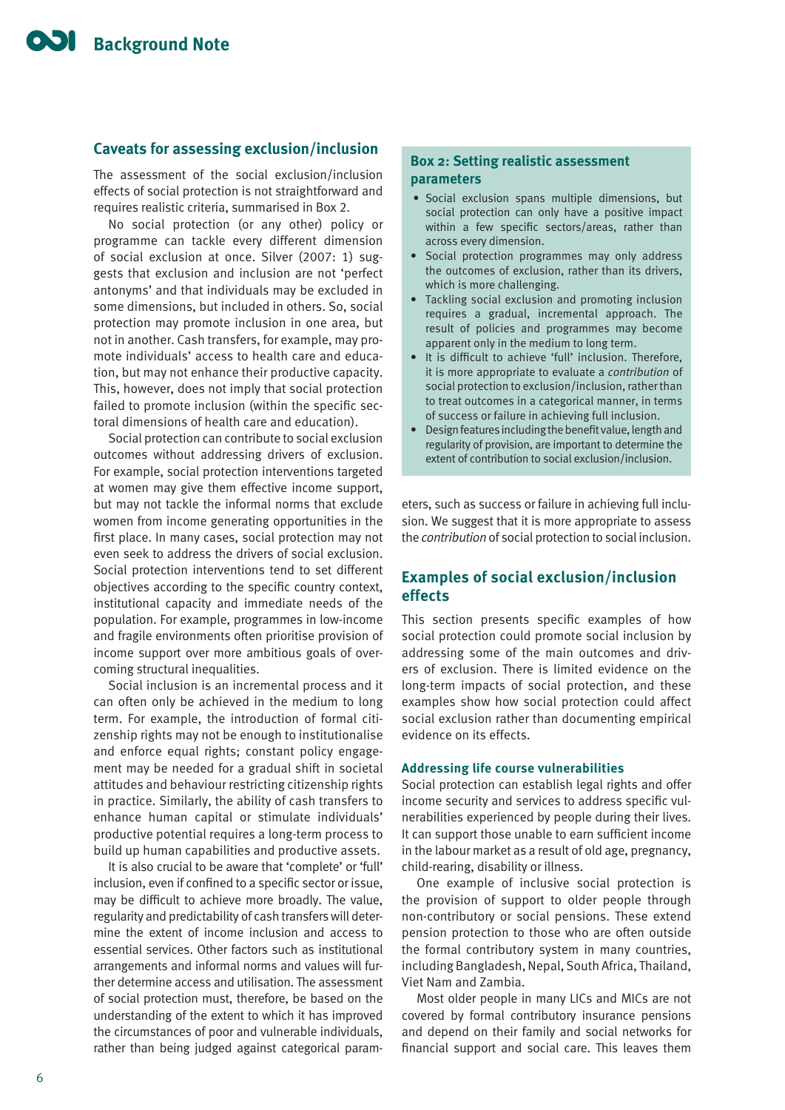## **Caveats for assessing exclusion/inclusion**

The assessment of the social exclusion/inclusion effects of social protection is not straightforward and requires realistic criteria, summarised in Box 2.

No social protection (or any other) policy or programme can tackle every different dimension of social exclusion at once. Silver (2007: 1) suggests that exclusion and inclusion are not 'perfect antonyms' and that individuals may be excluded in some dimensions, but included in others. So, social protection may promote inclusion in one area, but not in another. Cash transfers, for example, may promote individuals' access to health care and education, but may not enhance their productive capacity. This, however, does not imply that social protection failed to promote inclusion (within the specific sectoral dimensions of health care and education).

Social protection can contribute to social exclusion outcomes without addressing drivers of exclusion. For example, social protection interventions targeted at women may give them effective income support, but may not tackle the informal norms that exclude women from income generating opportunities in the first place. In many cases, social protection may not even seek to address the drivers of social exclusion. Social protection interventions tend to set different objectives according to the specific country context, institutional capacity and immediate needs of the population. For example, programmes in low-income and fragile environments often prioritise provision of income support over more ambitious goals of overcoming structural inequalities.

Social inclusion is an incremental process and it can often only be achieved in the medium to long term. For example, the introduction of formal citizenship rights may not be enough to institutionalise and enforce equal rights; constant policy engagement may be needed for a gradual shift in societal attitudes and behaviour restricting citizenship rights in practice. Similarly, the ability of cash transfers to enhance human capital or stimulate individuals' productive potential requires a long-term process to build up human capabilities and productive assets.

It is also crucial to be aware that 'complete' or 'full' inclusion, even if confined to a specific sector or issue, may be difficult to achieve more broadly. The value, regularity and predictability of cash transfers will determine the extent of income inclusion and access to essential services. Other factors such as institutional arrangements and informal norms and values will further determine access and utilisation. The assessment of social protection must, therefore, be based on the understanding of the extent to which it has improved the circumstances of poor and vulnerable individuals, rather than being judged against categorical param-

## **Box 2: Setting realistic assessment parameters**

- Social exclusion spans multiple dimensions, but social protection can only have a positive impact within a few specific sectors/areas, rather than across every dimension.
- Social protection programmes may only address the outcomes of exclusion, rather than its drivers, which is more challenging.
- Tackling social exclusion and promoting inclusion requires a gradual, incremental approach. The result of policies and programmes may become apparent only in the medium to long term.
- It is difficult to achieve 'full' inclusion. Therefore, it is more appropriate to evaluate a *contribution* of social protection to exclusion/inclusion, rather than to treat outcomes in a categorical manner, in terms of success or failure in achieving full inclusion.
- Design features including the benefit value, length and regularity of provision, are important to determine the extent of contribution to social exclusion/inclusion.

eters, such as success or failure in achieving full inclusion. We suggest that it is more appropriate to assess the *contribution* of social protection to social inclusion.

## **Examples of social exclusion/inclusion effects**

This section presents specific examples of how social protection could promote social inclusion by addressing some of the main outcomes and drivers of exclusion. There is limited evidence on the long-term impacts of social protection, and these examples show how social protection could affect social exclusion rather than documenting empirical evidence on its effects.

#### **Addressing life course vulnerabilities**

Social protection can establish legal rights and offer income security and services to address specific vulnerabilities experienced by people during their lives. It can support those unable to earn sufficient income in the labour market as a result of old age, pregnancy, child-rearing, disability or illness.

One example of inclusive social protection is the provision of support to older people through non-contributory or social pensions. These extend pension protection to those who are often outside the formal contributory system in many countries, including Bangladesh, Nepal, South Africa, Thailand, Viet Nam and Zambia.

Most older people in many LICs and MICs are not covered by formal contributory insurance pensions and depend on their family and social networks for financial support and social care. This leaves them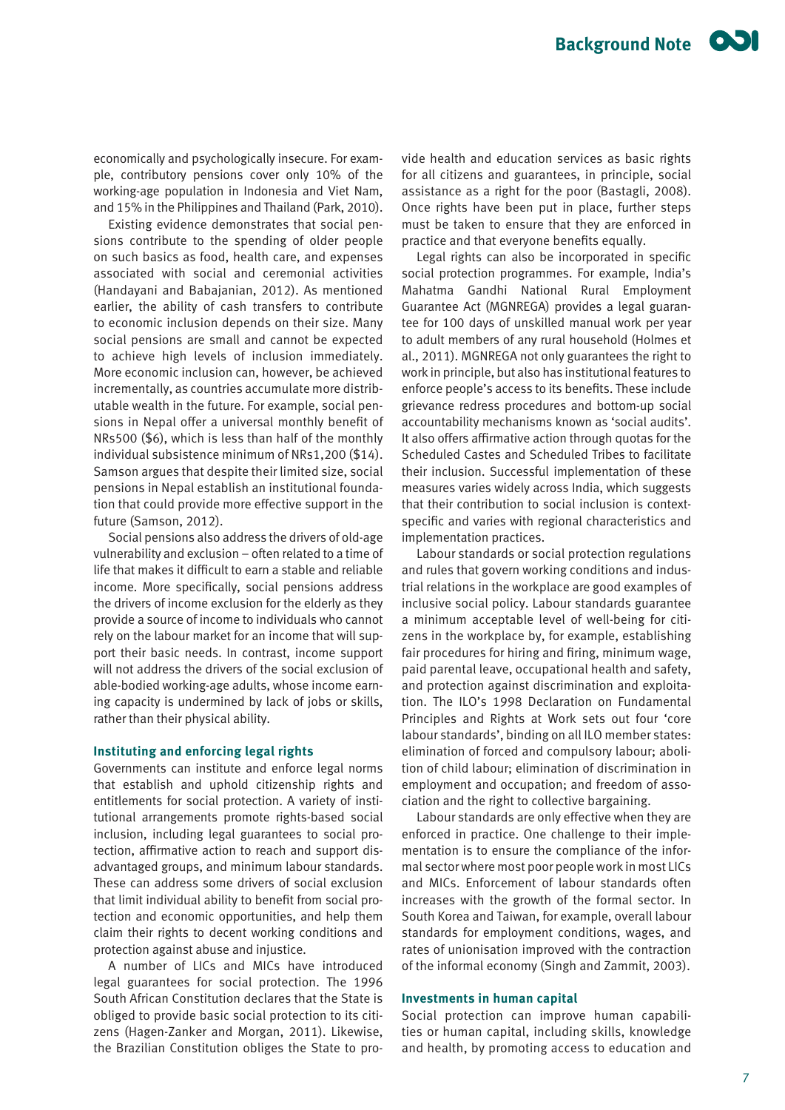economically and psychologically insecure. For example, contributory pensions cover only 10% of the working-age population in Indonesia and Viet Nam, and 15% in the Philippines and Thailand (Park, 2010).

Existing evidence demonstrates that social pensions contribute to the spending of older people on such basics as food, health care, and expenses associated with social and ceremonial activities (Handayani and Babajanian, 2012). As mentioned earlier, the ability of cash transfers to contribute to economic inclusion depends on their size. Many social pensions are small and cannot be expected to achieve high levels of inclusion immediately. More economic inclusion can, however, be achieved incrementally, as countries accumulate more distributable wealth in the future. For example, social pensions in Nepal offer a universal monthly benefit of NRs500 (\$6), which is less than half of the monthly individual subsistence minimum of NRs1,200 (\$14). Samson argues that despite their limited size, social pensions in Nepal establish an institutional foundation that could provide more effective support in the future (Samson, 2012).

Social pensions also address the drivers of old-age vulnerability and exclusion – often related to a time of life that makes it difficult to earn a stable and reliable income. More specifically, social pensions address the drivers of income exclusion for the elderly as they provide a source of income to individuals who cannot rely on the labour market for an income that will support their basic needs. In contrast, income support will not address the drivers of the social exclusion of able-bodied working-age adults, whose income earning capacity is undermined by lack of jobs or skills, rather than their physical ability.

#### **Instituting and enforcing legal rights**

Governments can institute and enforce legal norms that establish and uphold citizenship rights and entitlements for social protection. A variety of institutional arrangements promote rights-based social inclusion, including legal guarantees to social protection, affirmative action to reach and support disadvantaged groups, and minimum labour standards. These can address some drivers of social exclusion that limit individual ability to benefit from social protection and economic opportunities, and help them claim their rights to decent working conditions and protection against abuse and injustice.

A number of LICs and MICs have introduced legal guarantees for social protection. The 1996 South African Constitution declares that the State is obliged to provide basic social protection to its citizens (Hagen-Zanker and Morgan, 2011). Likewise, the Brazilian Constitution obliges the State to provide health and education services as basic rights for all citizens and guarantees, in principle, social assistance as a right for the poor (Bastagli, 2008). Once rights have been put in place, further steps must be taken to ensure that they are enforced in practice and that everyone benefits equally.

Legal rights can also be incorporated in specific social protection programmes. For example, India's Mahatma Gandhi National Rural Employment Guarantee Act (MGNREGA) provides a legal guarantee for 100 days of unskilled manual work per year to adult members of any rural household (Holmes et al., 2011). MGNREGA not only guarantees the right to work in principle, but also has institutional features to enforce people's access to its benefits. These include grievance redress procedures and bottom-up social accountability mechanisms known as 'social audits'. It also offers affirmative action through quotas for the Scheduled Castes and Scheduled Tribes to facilitate their inclusion. Successful implementation of these measures varies widely across India, which suggests that their contribution to social inclusion is contextspecific and varies with regional characteristics and implementation practices.

Labour standards or social protection regulations and rules that govern working conditions and industrial relations in the workplace are good examples of inclusive social policy. Labour standards guarantee a minimum acceptable level of well-being for citizens in the workplace by, for example, establishing fair procedures for hiring and firing, minimum wage, paid parental leave, occupational health and safety, and protection against discrimination and exploitation. The ILO's 1998 Declaration on Fundamental Principles and Rights at Work sets out four 'core labour standards', binding on all ILO member states: elimination of forced and compulsory labour; abolition of child labour; elimination of discrimination in employment and occupation; and freedom of association and the right to collective bargaining.

Labour standards are only effective when they are enforced in practice. One challenge to their implementation is to ensure the compliance of the informal sector where most poor people work in most LICs and MICs. Enforcement of labour standards often increases with the growth of the formal sector. In South Korea and Taiwan, for example, overall labour standards for employment conditions, wages, and rates of unionisation improved with the contraction of the informal economy (Singh and Zammit, 2003).

#### **Investments in human capital**

Social protection can improve human capabilities or human capital, including skills, knowledge and health, by promoting access to education and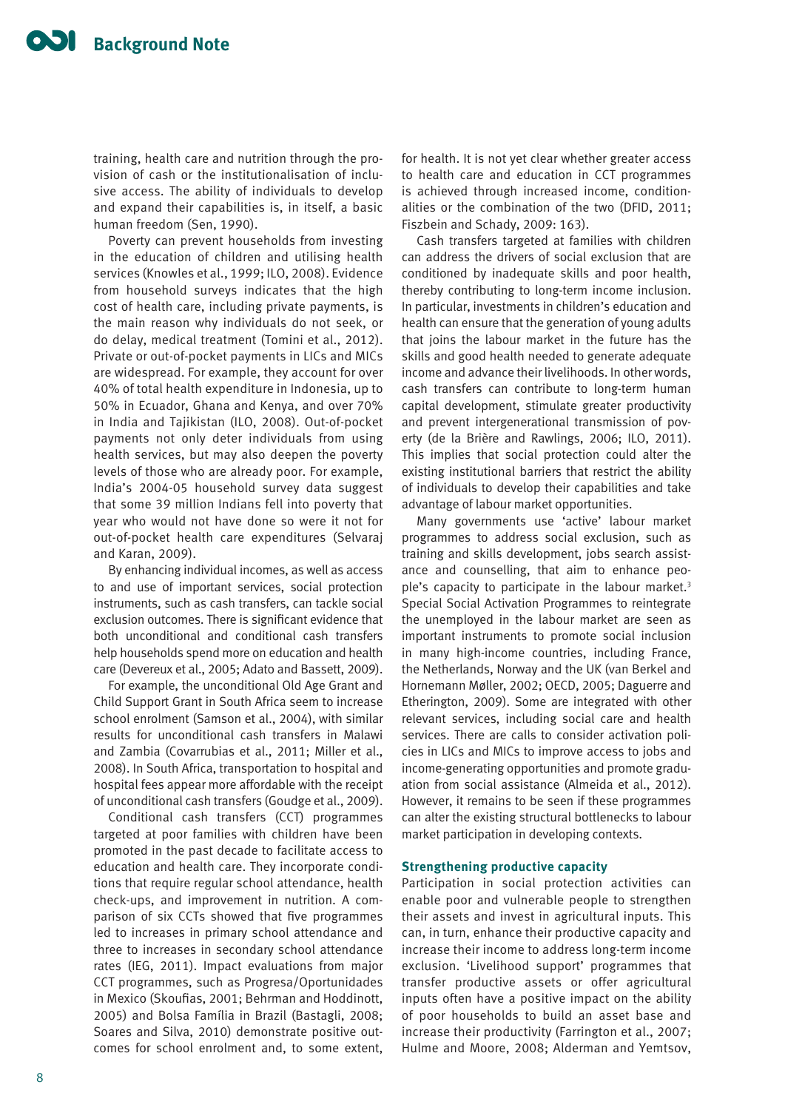training, health care and nutrition through the provision of cash or the institutionalisation of inclusive access. The ability of individuals to develop and expand their capabilities is, in itself, a basic human freedom (Sen, 1990).

Poverty can prevent households from investing in the education of children and utilising health services (Knowles et al., 1999; ILO, 2008). Evidence from household surveys indicates that the high cost of health care, including private payments, is the main reason why individuals do not seek, or do delay, medical treatment (Tomini et al., 2012). Private or out-of-pocket payments in LICs and MICs are widespread. For example, they account for over 40% of total health expenditure in Indonesia, up to 50% in Ecuador, Ghana and Kenya, and over 70% in India and Tajikistan (ILO, 2008). Out-of-pocket payments not only deter individuals from using health services, but may also deepen the poverty levels of those who are already poor. For example, India's 2004-05 household survey data suggest that some 39 million Indians fell into poverty that year who would not have done so were it not for out-of-pocket health care expenditures (Selvaraj and Karan, 2009).

By enhancing individual incomes, as well as access to and use of important services, social protection instruments, such as cash transfers, can tackle social exclusion outcomes. There is significant evidence that both unconditional and conditional cash transfers help households spend more on education and health care (Devereux et al., 2005; Adato and Bassett, 2009).

For example, the unconditional Old Age Grant and Child Support Grant in South Africa seem to increase school enrolment (Samson et al., 2004), with similar results for unconditional cash transfers in Malawi and Zambia (Covarrubias et al., 2011; Miller et al., 2008). In South Africa, transportation to hospital and hospital fees appear more affordable with the receipt of unconditional cash transfers (Goudge et al., 2009).

Conditional cash transfers (CCT) programmes targeted at poor families with children have been promoted in the past decade to facilitate access to education and health care. They incorporate conditions that require regular school attendance, health check-ups, and improvement in nutrition. A comparison of six CCTs showed that five programmes led to increases in primary school attendance and three to increases in secondary school attendance rates (IEG, 2011). Impact evaluations from major CCT programmes, such as Progresa/Oportunidades in Mexico (Skoufias, 2001; Behrman and Hoddinott, 2005) and Bolsa Família in Brazil (Bastagli, 2008; Soares and Silva, 2010) demonstrate positive outcomes for school enrolment and, to some extent,

for health. It is not yet clear whether greater access to health care and education in CCT programmes is achieved through increased income, conditionalities or the combination of the two (DFID, 2011; Fiszbein and Schady, 2009: 163).

Cash transfers targeted at families with children can address the drivers of social exclusion that are conditioned by inadequate skills and poor health, thereby contributing to long-term income inclusion. In particular, investments in children's education and health can ensure that the generation of young adults that joins the labour market in the future has the skills and good health needed to generate adequate income and advance their livelihoods. In other words, cash transfers can contribute to long-term human capital development, stimulate greater productivity and prevent intergenerational transmission of poverty (de la Brière and Rawlings, 2006; ILO, 2011). This implies that social protection could alter the existing institutional barriers that restrict the ability of individuals to develop their capabilities and take advantage of labour market opportunities.

Many governments use 'active' labour market programmes to address social exclusion, such as training and skills development, jobs search assistance and counselling, that aim to enhance people's capacity to participate in the labour market.<sup>3</sup> Special Social Activation Programmes to reintegrate the unemployed in the labour market are seen as important instruments to promote social inclusion in many high-income countries, including France, the Netherlands, Norway and the UK (van Berkel and Hornemann Møller, 2002; OECD, 2005; Daguerre and Etherington, 2009). Some are integrated with other relevant services, including social care and health services. There are calls to consider activation policies in LICs and MICs to improve access to jobs and income-generating opportunities and promote graduation from social assistance (Almeida et al., 2012). However, it remains to be seen if these programmes can alter the existing structural bottlenecks to labour market participation in developing contexts.

#### **Strengthening productive capacity**

Participation in social protection activities can enable poor and vulnerable people to strengthen their assets and invest in agricultural inputs. This can, in turn, enhance their productive capacity and increase their income to address long-term income exclusion. 'Livelihood support' programmes that transfer productive assets or offer agricultural inputs often have a positive impact on the ability of poor households to build an asset base and increase their productivity (Farrington et al., 2007; Hulme and Moore, 2008; Alderman and Yemtsov,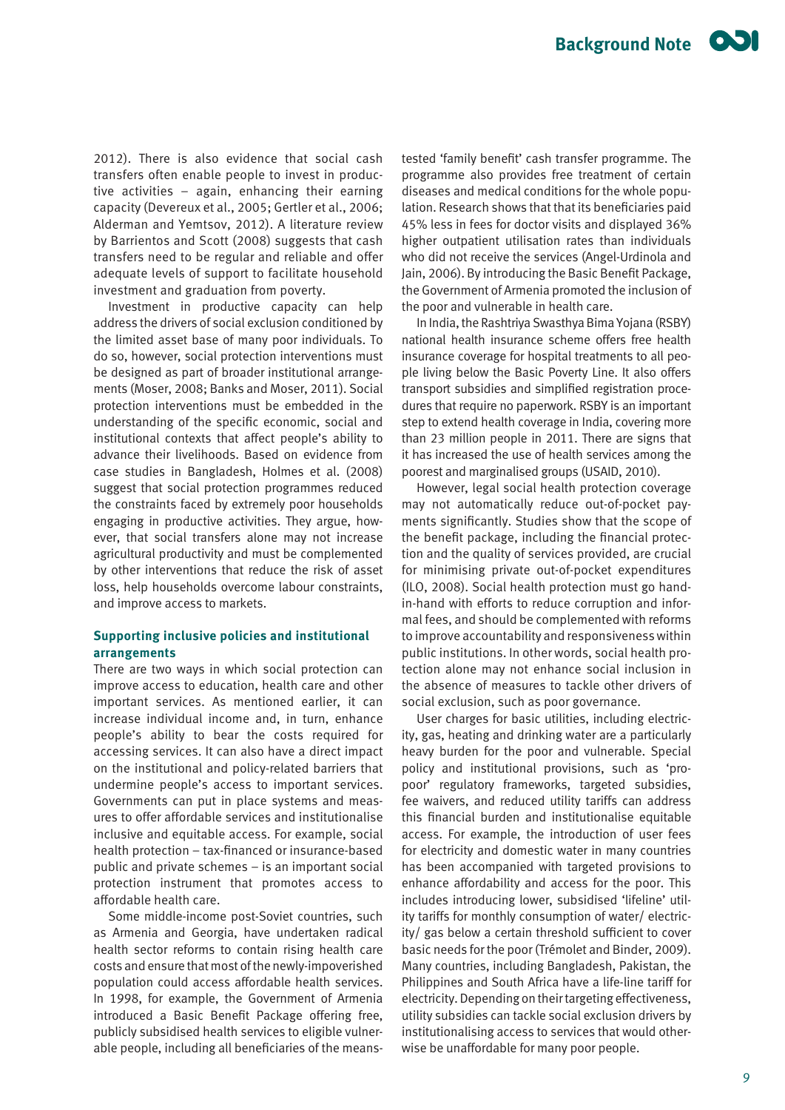2012). There is also evidence that social cash transfers often enable people to invest in productive activities – again, enhancing their earning capacity (Devereux et al., 2005; Gertler et al., 2006; Alderman and Yemtsov, 2012). A literature review by Barrientos and Scott (2008) suggests that cash transfers need to be regular and reliable and offer adequate levels of support to facilitate household investment and graduation from poverty.

Investment in productive capacity can help address the drivers of social exclusion conditioned by the limited asset base of many poor individuals. To do so, however, social protection interventions must be designed as part of broader institutional arrangements (Moser, 2008; Banks and Moser, 2011). Social protection interventions must be embedded in the understanding of the specific economic, social and institutional contexts that affect people's ability to advance their livelihoods. Based on evidence from case studies in Bangladesh, Holmes et al. (2008) suggest that social protection programmes reduced the constraints faced by extremely poor households engaging in productive activities. They argue, however, that social transfers alone may not increase agricultural productivity and must be complemented by other interventions that reduce the risk of asset loss, help households overcome labour constraints, and improve access to markets.

## **Supporting inclusive policies and institutional arrangements**

There are two ways in which social protection can improve access to education, health care and other important services. As mentioned earlier, it can increase individual income and, in turn, enhance people's ability to bear the costs required for accessing services. It can also have a direct impact on the institutional and policy-related barriers that undermine people's access to important services. Governments can put in place systems and measures to offer affordable services and institutionalise inclusive and equitable access. For example, social health protection – tax-financed or insurance-based public and private schemes – is an important social protection instrument that promotes access to affordable health care.

Some middle-income post-Soviet countries, such as Armenia and Georgia, have undertaken radical health sector reforms to contain rising health care costs and ensure that most of the newly-impoverished population could access affordable health services. In 1998, for example, the Government of Armenia introduced a Basic Benefit Package offering free, publicly subsidised health services to eligible vulnerable people, including all beneficiaries of the means-

tested 'family benefit' cash transfer programme. The programme also provides free treatment of certain diseases and medical conditions for the whole population. Research shows that that its beneficiaries paid 45% less in fees for doctor visits and displayed 36% higher outpatient utilisation rates than individuals who did not receive the services (Angel-Urdinola and Jain, 2006). By introducing the Basic Benefit Package, the Government of Armenia promoted the inclusion of the poor and vulnerable in health care.

In India, the Rashtriya Swasthya Bima Yojana (RSBY) national health insurance scheme offers free health insurance coverage for hospital treatments to all people living below the Basic Poverty Line. It also offers transport subsidies and simplified registration procedures that require no paperwork. RSBY is an important step to extend health coverage in India, covering more than 23 million people in 2011. There are signs that it has increased the use of health services among the poorest and marginalised groups (USAID, 2010).

However, legal social health protection coverage may not automatically reduce out-of-pocket payments significantly. Studies show that the scope of the benefit package, including the financial protection and the quality of services provided, are crucial for minimising private out-of-pocket expenditures (ILO, 2008). Social health protection must go handin-hand with efforts to reduce corruption and informal fees, and should be complemented with reforms to improve accountability and responsiveness within public institutions. In other words, social health protection alone may not enhance social inclusion in the absence of measures to tackle other drivers of social exclusion, such as poor governance.

User charges for basic utilities, including electricity, gas, heating and drinking water are a particularly heavy burden for the poor and vulnerable. Special policy and institutional provisions, such as 'propoor' regulatory frameworks, targeted subsidies, fee waivers, and reduced utility tariffs can address this financial burden and institutionalise equitable access. For example, the introduction of user fees for electricity and domestic water in many countries has been accompanied with targeted provisions to enhance affordability and access for the poor. This includes introducing lower, subsidised 'lifeline' utility tariffs for monthly consumption of water/ electricity/ gas below a certain threshold sufficient to cover basic needs for the poor (Trémolet and Binder, 2009). Many countries, including Bangladesh, Pakistan, the Philippines and South Africa have a life-line tariff for electricity. Depending on their targeting effectiveness, utility subsidies can tackle social exclusion drivers by institutionalising access to services that would otherwise be unaffordable for many poor people.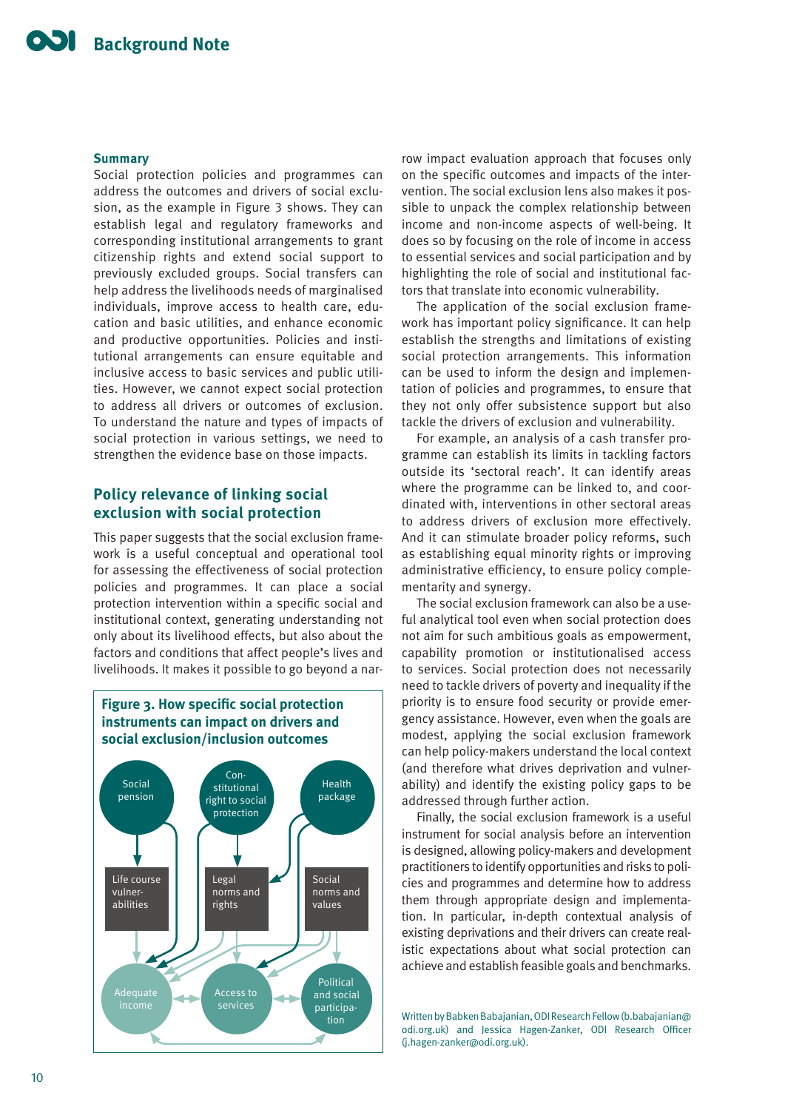#### **Summary**

Social protection policies and programmes can address the outcomes and drivers of social exclusion, as the example in Figure 3 shows. They can establish legal and regulatory frameworks and corresponding institutional arrangements to grant citizenship rights and extend social support to previously excluded groups. Social transfers can help address the livelihoods needs of marginalised individuals, improve access to health care, education and basic utilities, and enhance economic and productive opportunities. Policies and institutional arrangements can ensure equitable and inclusive access to basic services and public utilities. However, we cannot expect social protection to address all drivers or outcomes of exclusion. To understand the nature and types of impacts of social protection in various settings, we need to strengthen the evidence base on those impacts.

## **Policy relevance of linking social exclusion with social protection**

This paper suggests that the social exclusion framework is a useful conceptual and operational tool for assessing the effectiveness of social protection policies and programmes. It can place a social protection intervention within a specific social and institutional context, generating understanding not only about its livelihood effects, but also about the factors and conditions that affect people's lives and livelihoods. It makes it possible to go beyond a nar-



row impact evaluation approach that focuses only on the specific outcomes and impacts of the intervention. The social exclusion lens also makes it possible to unpack the complex relationship between income and non-income aspects of well-being. It does so by focusing on the role of income in access to essential services and social participation and by highlighting the role of social and institutional factors that translate into economic vulnerability.

The application of the social exclusion framework has important policy significance. It can help establish the strengths and limitations of existing social protection arrangements. This information can be used to inform the design and implementation of policies and programmes, to ensure that they not only offer subsistence support but also tackle the drivers of exclusion and vulnerability.

For example, an analysis of a cash transfer programme can establish its limits in tackling factors outside its 'sectoral reach'. It can identify areas where the programme can be linked to, and coordinated with, interventions in other sectoral areas to address drivers of exclusion more effectively. And it can stimulate broader policy reforms, such as establishing equal minority rights or improving administrative efficiency, to ensure policy complementarity and synergy.

The social exclusion framework can also be a useful analytical tool even when social protection does not aim for such ambitious goals as empowerment, capability promotion or institutionalised access to services. Social protection does not necessarily need to tackle drivers of poverty and inequality if the priority is to ensure food security or provide emergency assistance. However, even when the goals are modest, applying the social exclusion framework can help policy-makers understand the local context (and therefore what drives deprivation and vulnerability) and identify the existing policy gaps to be addressed through further action.

Finally, the social exclusion framework is a useful instrument for social analysis before an intervention is designed, allowing policy-makers and development practitioners to identify opportunities and risks to policies and programmes and determine how to address them through appropriate design and implementation. In particular, in-depth contextual analysis of existing deprivations and their drivers can create realistic expectations about what social protection can achieve and establish feasible goals and benchmarks.

Written by Babken Babajanian, ODI Research Fellow (b.babajanian@ odi.org.uk) and Jessica Hagen-Zanker, ODI Research Officer (j.hagen-zanker@odi.org.uk).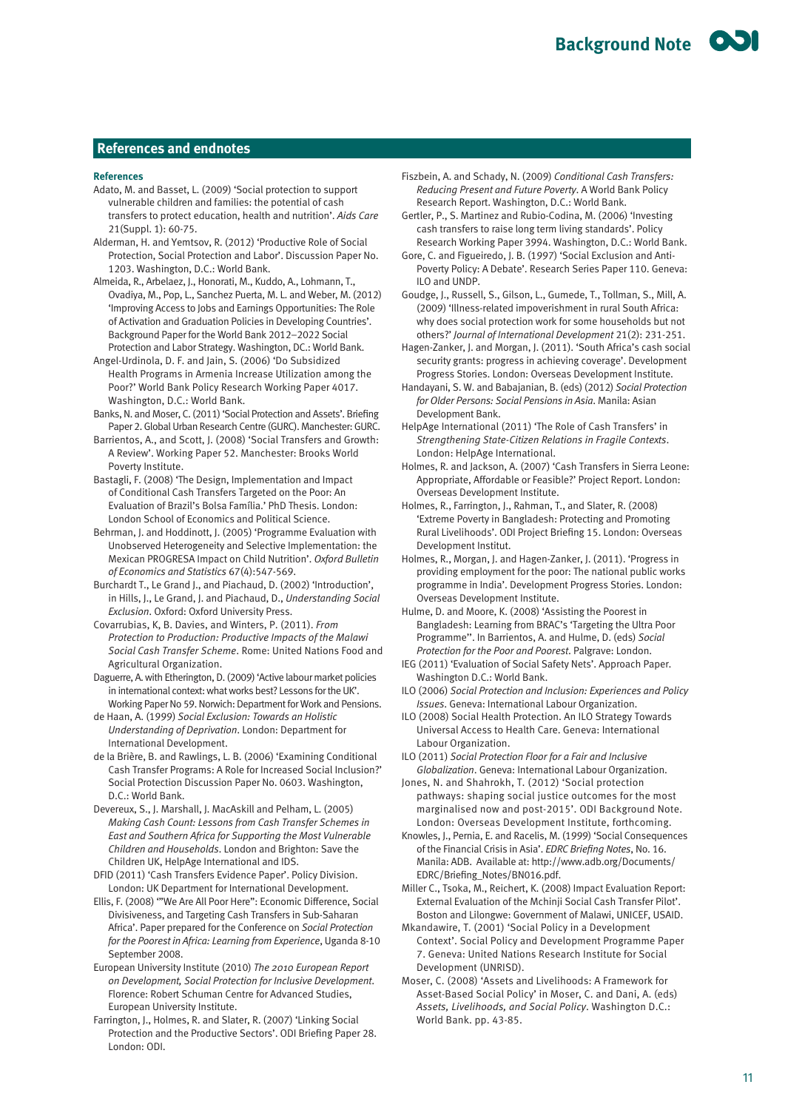#### **References and endnotes**

#### **References**

- Adato, M. and Basset, L. (2009) 'Social protection to support vulnerable children and families: the potential of cash transfers to protect education, health and nutrition'. *Aids Care*  21(Suppl. 1): 60-75.
- Alderman, H. and Yemtsov, R. (2012) 'Productive Role of Social Protection, Social Protection and Labor'. Discussion Paper No. 1203. Washington, D.C.: World Bank.
- Almeida, R., Arbelaez, J., Honorati, M., Kuddo, A., Lohmann, T., Ovadiya, M., Pop, L., Sanchez Puerta, M. L. and Weber, M. (2012) 'Improving Access to Jobs and Earnings Opportunities: The Role of Activation and Graduation Policies in Developing Countries'. Background Paper for the World Bank 2012–2022 Social Protection and Labor Strategy. Washington, DC.: World Bank.
- Angel-Urdinola, D. F. and Jain, S. (2006) 'Do Subsidized Health Programs in Armenia Increase Utilization among the Poor?' World Bank Policy Research Working Paper 4017. Washington, D.C.: World Bank.
- Banks, N. and Moser, C. (2011) 'Social Protection and Assets'. Briefing Paper 2. Global Urban Research Centre (GURC). Manchester: GURC.
- Barrientos, A., and Scott, J. (2008) 'Social Transfers and Growth: A Review'. Working Paper 52. Manchester: Brooks World Poverty Institute.
- Bastagli, F. (2008) 'The Design, Implementation and Impact of Conditional Cash Transfers Targeted on the Poor: An Evaluation of Brazil's Bolsa Família.' PhD Thesis. London: London School of Economics and Political Science.
- Behrman, J. and Hoddinott, J. (2005) 'Programme Evaluation with Unobserved Heterogeneity and Selective Implementation: the Mexican PROGRESA Impact on Child Nutrition'. *Oxford Bulletin of Economics and Statistics* 67(4):547-569.
- Burchardt T., Le Grand J., and Piachaud, D. (2002) 'Introduction', in Hills, J., Le Grand, J. and Piachaud, D., *Understanding Social Exclusion*. Oxford: Oxford University Press.
- Covarrubias, K, B. Davies, and Winters, P. (2011). *From Protection to Production: Productive Impacts of the Malawi Social Cash Transfer Scheme*. Rome: United Nations Food and Agricultural Organization.
- Daguerre, A. with Etherington, D. (2009) 'Active labour market policies in international context: what works best? Lessons for the UK'. Working Paper No 59. Norwich: Department for Work and Pensions.
- de Haan, A. (1999) *Social Exclusion: Towards an Holistic Understanding of Deprivation*. London: Department for
- International Development. de la Brière, B. and Rawlings, L. B. (2006) 'Examining Conditional Cash Transfer Programs: A Role for Increased Social Inclusion?' Social Protection Discussion Paper No. 0603. Washington, D.C.: World Bank.
- Devereux, S., J. Marshall, J. MacAskill and Pelham, L. (2005) *Making Cash Count: Lessons from Cash Transfer Schemes in East and Southern Africa for Supporting the Most Vulnerable Children and Households*. London and Brighton: Save the Children UK, HelpAge International and IDS.
- DFID (2011) 'Cash Transfers Evidence Paper'. Policy Division. London: UK Department for International Development.
- Ellis, F. (2008) '"We Are All Poor Here": Economic Difference, Social Divisiveness, and Targeting Cash Transfers in Sub-Saharan Africa'. Paper prepared for the Conference on *Social Protection for the Poorest in Africa: Learning from Experience*, Uganda 8-10 September 2008.
- European University Institute (2010) *The 2010 European Report on Development, Social Protection for Inclusive Development*. Florence: Robert Schuman Centre for Advanced Studies, European University Institute.
- Farrington, J., Holmes, R. and Slater, R. (2007) 'Linking Social Protection and the Productive Sectors'. ODI Briefing Paper 28. London: ODI.
- Fiszbein, A. and Schady, N. (2009) *Conditional Cash Transfers: Reducing Present and Future Poverty*. A World Bank Policy Research Report. Washington, D.C.: World Bank.
- Gertler, P., S. Martinez and Rubio-Codina, M. (2006) 'Investing cash transfers to raise long term living standards'. Policy Research Working Paper 3994. Washington, D.C.: World Bank.
- Gore, C. and Figueiredo, J. B. (1997) 'Social Exclusion and Anti-Poverty Policy: A Debate'. Research Series Paper 110. Geneva: ILO and UNDP.
- Goudge, J., Russell, S., Gilson, L., Gumede, T., Tollman, S., Mill, A. (2009) 'Illness-related impoverishment in rural South Africa: why does social protection work for some households but not others?' *Journal of International Development* 21(2): 231-251.
- Hagen-Zanker, J. and Morgan, J. (2011). 'South Africa's cash social security grants: progress in achieving coverage'. Development Progress Stories. London: Overseas Development Institute.
- Handayani, S. W. and Babajanian, B. (eds) (2012) *Social Protection for Older Persons: Social Pensions in Asia*. Manila: Asian Development Bank.
- HelpAge International (2011) 'The Role of Cash Transfers' in *Strengthening State-Citizen Relations in Fragile Contexts*. London: HelpAge International.
- Holmes, R. and Jackson, A. (2007) 'Cash Transfers in Sierra Leone: Appropriate, Affordable or Feasible?' Project Report. London: Overseas Development Institute.
- Holmes, R., Farrington, J., Rahman, T., and Slater, R. (2008) 'Extreme Poverty in Bangladesh: Protecting and Promoting Rural Livelihoods'. ODI Project Briefing 15. London: Overseas Development Institut.
- Holmes, R., Morgan, J. and Hagen-Zanker, J. (2011). 'Progress in providing employment for the poor: The national public works programme in India'. Development Progress Stories. London: Overseas Development Institute.
- Hulme, D. and Moore, K. (2008) 'Assisting the Poorest in Bangladesh: Learning from BRAC's 'Targeting the Ultra Poor Programme''. In Barrientos, A. and Hulme, D. (eds) *Social Protection for the Poor and Poorest*. Palgrave: London.
- IEG (2011) 'Evaluation of Social Safety Nets'. Approach Paper. Washington D.C.: World Bank.
- ILO (2006) *Social Protection and Inclusion: Experiences and Policy Issues*. Geneva: International Labour Organization.
- ILO (2008) Social Health Protection. An ILO Strategy Towards Universal Access to Health Care. Geneva: International Labour Organization.
- ILO (2011) *Social Protection Floor for a Fair and Inclusive Globalization*. Geneva: International Labour Organization.

Jones, N. and Shahrokh, T. (2012) 'Social protection pathways: shaping social justice outcomes for the most marginalised now and post-2015'. ODI Background Note. London: Overseas Development Institute, forthcoming.

Knowles, J., Pernia, E. and Racelis, M. (1999) 'Social Consequences of the Financial Crisis in Asia'. *EDRC Briefing Notes*, No. 16. Manila: ADB. Available at: http://www.adb.org/Documents/ EDRC/Briefing\_Notes/BN016.pdf.

Miller C., Tsoka, M., Reichert, K. (2008) Impact Evaluation Report: External Evaluation of the Mchinji Social Cash Transfer Pilot'. Boston and Lilongwe: Government of Malawi, UNICEF, USAID.

- Mkandawire, T. (2001) 'Social Policy in a Development Context'. Social Policy and Development Programme Paper 7. Geneva: United Nations Research Institute for Social Development (UNRISD).
- Moser, C. (2008) 'Assets and Livelihoods: A Framework for Asset-Based Social Policy' in Moser, C. and Dani, A. (eds) *Assets, Livelihoods, and Social Policy*. Washington D.C.: World Bank. pp. 43-85.